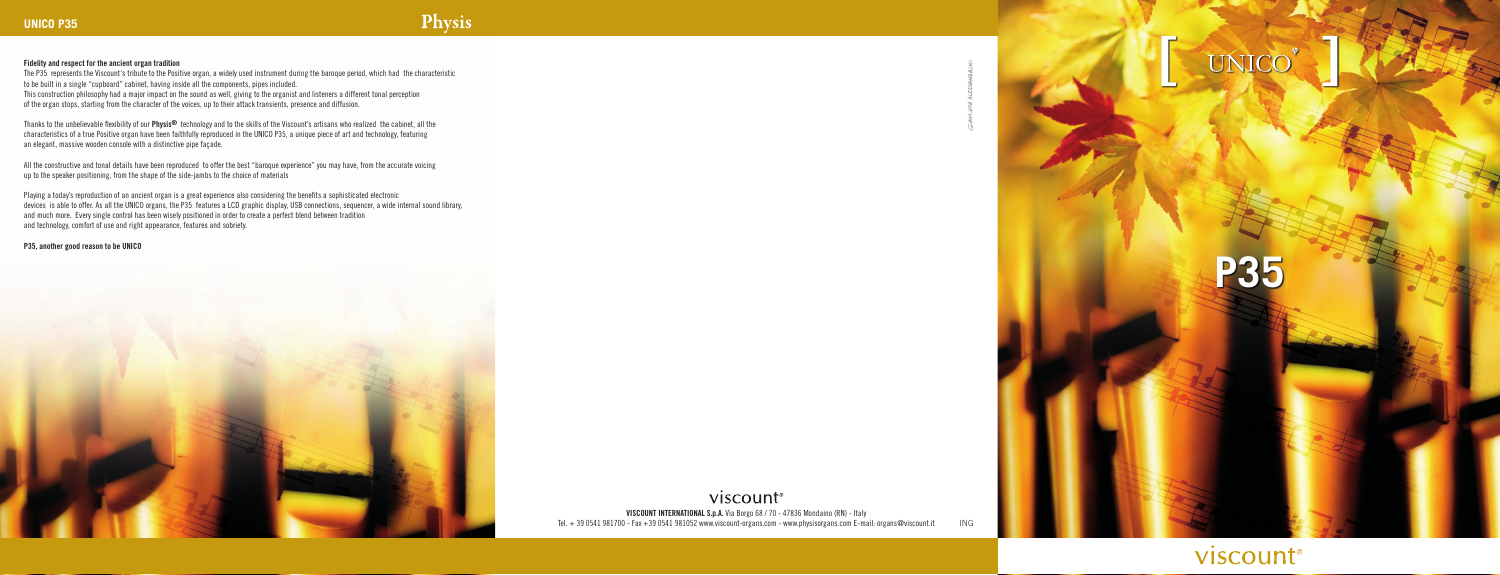## **Fidelity and respect for the ancient organ tradition**

The P35 represents the Viscount's tribute to the Positive organ, a widely used instrument during the baroque period, which had the characteristic to be built in a single "cupboard" cabinet, having inside all the components, pipes included. This construction philosophy had a major impact on the sound as well, giving to the organist and listeners a different tonal perception of the organ stops, starting from the character of the voices, up to their attack transients, presence and diffusion.

Thanks to the unbelievable flexibility of our **Physis®** technology and to the skills of the Viscount's artisans who realized the cabinet, all the characteristics of a true Positive organ have been faithfully reproduced in the UNICO P35, a unique piece of art and technology, featuring an elegant, massive wooden console with a distinctive pipe façade.

> viscount® **VISCOUNT INTERNATIONAL S.p.A.** Via Borgo 68 / 70 - 47836 Mondaino (RN) - Italy Tel. + 39 0541 981700 - Fax +39 0541 981052 www.viscount-organs.com - www.physisorgans.com E-mail: organs@viscount.it ING

**UNIC** 

All the constructive and tonal details have been reproduced to offer the best "baroque experience" you may have, from the accurate voicing up to the speaker positioning, from the shape of the side-jambs to the choice of materials

Playing a today's reproduction of an ancient organ is a great experience also considering the benefits a sophisticated electronic devices is able to offer. As all the UNICO organs, the P35 features a LCD graphic display, USB connections, sequencer, a wide internal sound library, and much more. Every single control has been wisely positioned in order to create a perfect blend between tradition and technology, comfort of use and right appearance, features and sobriety.

## **P35, another good reason to be UNICO**



**P35**

## viscount®

## Physis